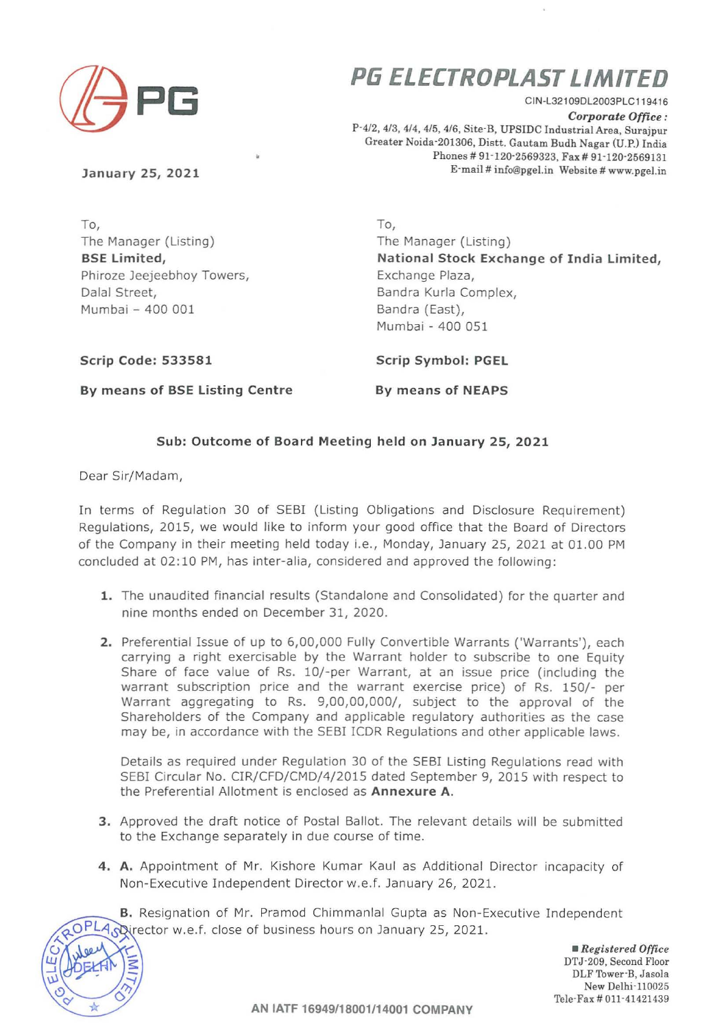

# **P6 ELECTROPLASTLIMITED**

CIN-L32109DL2003PLC119416

*Corporate Office :* P-4/2, 4/3, 4/4, 4/5, 4/6, Site-B, UPSIDC Industrial Area, Surajpur Greater Noida-201306, Distt. Gautam Budh Nagar (U.P.) India Phones # 91-120-2569323, Fax # 91-120-2569131 E-mail # info@pgel.in Website # www.pgel.in

January 25, 2021

To, The Manager (Listing) B5E Limited, Phiroze Jeejeebhoy Towers, Dalal Street, Mumbai - 400 001

To, The Manager (Listing) National Stock Exchange of India Limited, Exchange Plaza, Bandra Kurla Complex, Bandra (East), Mumbai - 400 051

Scrip Code: 533581

Scrip Symbol: PGEL

By means of BSE Listing Centre

By means of NEAPS

#### Sub: Outcome of Board Meeting held on January 25, 2021

Dear Sir/Madam,

In terms of Regulation 30 of SEBI (Listing Obligations and Disclosure Requirement) Regulations, 2015, we would like to inform your good office that the Board of Directors of the Company in their meeting held today i.e., Monday, January 25, 2021 at 01.00 PM concluded at 02:10 PM, has inter-alia, considered and approved the following:

- 1. The unaudited financial results (Standalone and Consolidated) for the quarter and nine months ended on December 31, 2020.
- 2. Preferential Issue of up to 6,00,000 Fully Convertible Warrants ('Warrants'), each carrying a right exercisable by the Warrant holder to subscribe to one Equity Share of face value of Rs. 10/-per Warrant, at an issue price (including the warrant subscription price and the warrant exercise price) of Rs. 150/- per Warrant aggregating to Rs. 9,00,00,000/, subject to the approval of the Shareholders of the Company and applicable regulatory authorities as the case may be, in accordance with the SEBI ICDR Regulations and other applicable laws.

Details as required under Regulation 30 of the SEBI Listing Regulations read with SEBI Circular No. CIR/CFD/CMD/4/2015 dated September 9, 2015 with respect to the Preferential Allotment is enclosed as Annexure A.

- 3. Approved the draft notice of Postal Ballot. The relevant details will be submitted to the Exchange separately in due course of time.
- 4. A, Appointment of Mr. Kishore Kumar Kaul as Additional Director incapacity of Non-Executive Independent Director w.e.f. January 26, 2021.

B. Resignation of Mr. Pramod Chimmanlal Gupta as Non-Executive Independent Nirector w.e.f. close of business hours on January 25, 2021.

 $\mathbb{E}(\cancel{\text{Ab}}) \leq$  $\mathbb{E}[\mathbb{E} \mathbb{E} \mathbb{E} \mathbb{E} \mathbb{E} \mathbb{E} \mathbb{E} \mathbb{E} \mathbb{E} \mathbb{E} \mathbb{E} \mathbb{E} \mathbb{E} \mathbb{E} \mathbb{E} \mathbb{E} \mathbb{E} \mathbb{E} \mathbb{E} \mathbb{E} \mathbb{E} \mathbb{E} \mathbb{E} \mathbb{E} \mathbb{E} \mathbb{E} \mathbb{E} \mathbb{E} \mathbb{E} \mathbb{E} \mathbb{E} \mathbb{E} \mathbb{E} \mathbb{E} \mathbb{E} \mathbb{$  $\circ$  $\check{\phantom{1}}$ \*

*• Registered Office* DTJ-209, Second Floor DLF Tower-B.Jasola New Delhi-110025 TeIe-Fax # 011-41421439

AN IATF 16949/18001/14001 COMPANY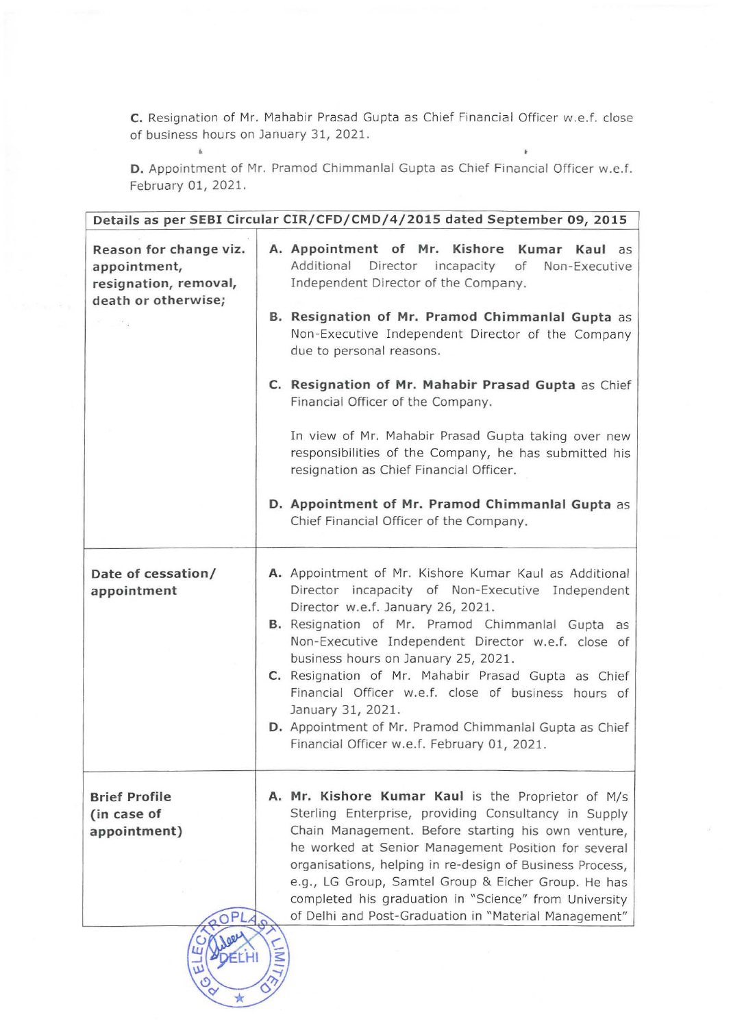C. Resignation of Mr. Mahabir Prasad Gupta as Chief Financial Officer w.e.f. close of business hours on January 31, 2021.

 $\mathbf{k}$ 

D. Appointment of Mr. Pramod Chimmanlal Gupta as Chief Financial Officer w.e.f. February 01, 2021.

 $\vec{b}$ 

| Details as per SEBI Circular CIR/CFD/CMD/4/2015 dated September 09, 2015                                              |                                                                                                                                                                                                                                                                                                                                                                                                                                                                                                                                                                                                                                            |  |
|-----------------------------------------------------------------------------------------------------------------------|--------------------------------------------------------------------------------------------------------------------------------------------------------------------------------------------------------------------------------------------------------------------------------------------------------------------------------------------------------------------------------------------------------------------------------------------------------------------------------------------------------------------------------------------------------------------------------------------------------------------------------------------|--|
| Reason for change viz.<br>appointment,<br>resignation, removal,<br>death or otherwise;<br>$\sim$ $\sim$ $\sim$ $\sim$ | A. Appointment of Mr. Kishore Kumar Kaul as<br>Additional<br>Director incapacity<br>of<br>Non-Executive<br>Independent Director of the Company.<br>B. Resignation of Mr. Pramod Chimmanlal Gupta as<br>Non-Executive Independent Director of the Company<br>due to personal reasons.<br>C. Resignation of Mr. Mahabir Prasad Gupta as Chief<br>Financial Officer of the Company.<br>In view of Mr. Mahabir Prasad Gupta taking over new<br>responsibilities of the Company, he has submitted his<br>resignation as Chief Financial Officer.<br>D. Appointment of Mr. Pramod Chimmanlal Gupta as<br>Chief Financial Officer of the Company. |  |
| Date of cessation/<br>appointment                                                                                     | A. Appointment of Mr. Kishore Kumar Kaul as Additional<br>Director incapacity of Non-Executive Independent<br>Director w.e.f. January 26, 2021.<br>B. Resignation of Mr. Pramod Chimmanlal Gupta as<br>Non-Executive Independent Director w.e.f. close of<br>business hours on January 25, 2021.<br>C. Resignation of Mr. Mahabir Prasad Gupta as Chief<br>Financial Officer w.e.f. close of business hours of<br>January 31, 2021.<br>D. Appointment of Mr. Pramod Chimmanlal Gupta as Chief<br>Financial Officer w.e.f. February 01, 2021.                                                                                               |  |
| <b>Brief Profile</b><br>(in case of<br>appointment)                                                                   | A. Mr. Kishore Kumar Kaul is the Proprietor of M/s<br>Sterling Enterprise, providing Consultancy in Supply<br>Chain Management. Before starting his own venture,<br>he worked at Senior Management Position for several<br>organisations, helping in re-design of Business Process,<br>e.g., LG Group, Samtel Group & Eicher Group. He has<br>completed his graduation in "Science" from University<br>of Delhi and Post-Graduation in "Material Management"                                                                                                                                                                               |  |

 $\bigstar$  0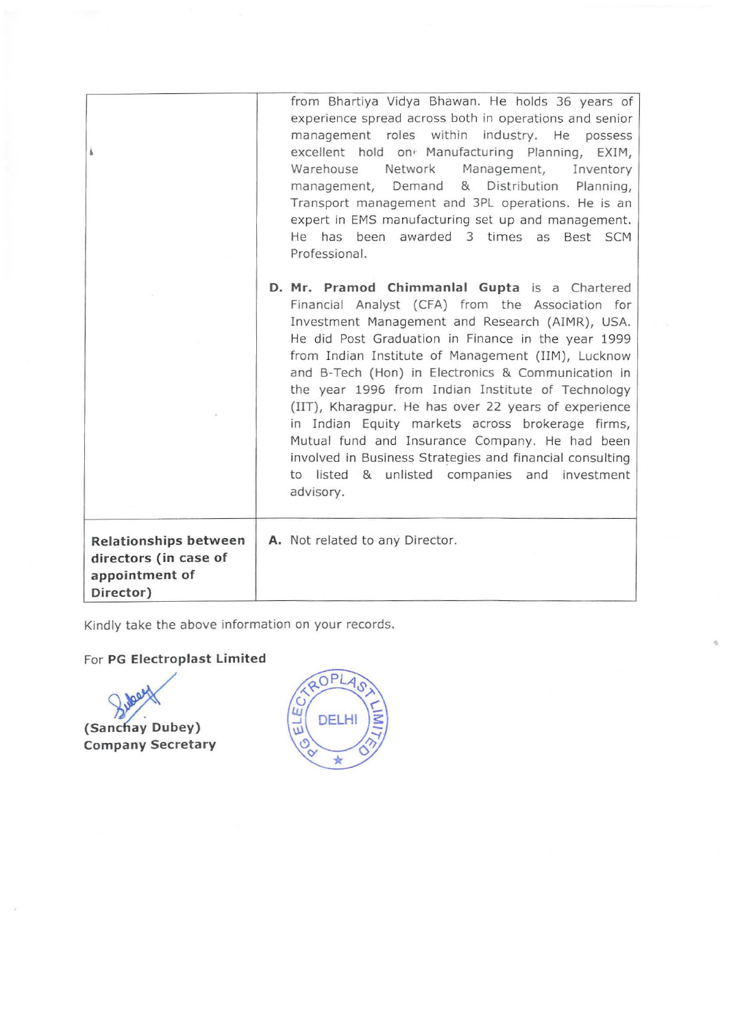| Ł                                                                             | from Bhartiya Vidya Bhawan. He holds 36 years of<br>experience spread across both in operations and senior<br>management roles within industry. He possess<br>excellent hold on Manufacturing Planning, EXIM,<br>Network<br>Management,<br>Warehouse<br>Inventory<br>management, Demand & Distribution Planning,<br>Transport management and 3PL operations. He is an<br>expert in EMS manufacturing set up and management.<br>He has been awarded 3 times as<br>Best SCM<br>Professional.                                                                                                                                                                          |
|-------------------------------------------------------------------------------|---------------------------------------------------------------------------------------------------------------------------------------------------------------------------------------------------------------------------------------------------------------------------------------------------------------------------------------------------------------------------------------------------------------------------------------------------------------------------------------------------------------------------------------------------------------------------------------------------------------------------------------------------------------------|
|                                                                               | D. Mr. Pramod Chimmanlal Gupta is a Chartered<br>Financial Analyst (CFA) from the Association for<br>Investment Management and Research (AIMR), USA.<br>He did Post Graduation in Finance in the year 1999<br>from Indian Institute of Management (IIM), Lucknow<br>and B-Tech (Hon) in Electronics & Communication in<br>the year 1996 from Indian Institute of Technology<br>(IIT), Kharagpur. He has over 22 years of experience<br>in Indian Equity markets across brokerage firms,<br>Mutual fund and Insurance Company. He had been<br>involved in Business Strategies and financial consulting<br>to listed & unlisted companies and investment<br>advisory. |
| Relationships between<br>directors (in case of<br>appointment of<br>Director) | A. Not related to any Director.                                                                                                                                                                                                                                                                                                                                                                                                                                                                                                                                                                                                                                     |

Kindly take the above information on your records.

## For **PG Electroplast Limited**

**Company Secretary** (Sanchay Dubey)



•